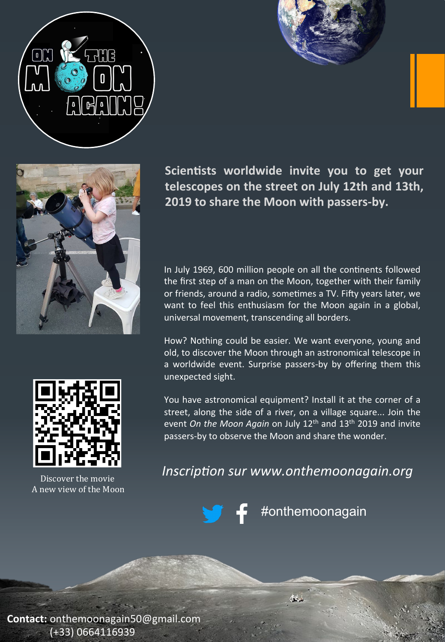







Discover the movie A new view of the Moon 

Scientists worldwide invite you to get your telescopes on the street on July 12th and 13th, **2019 to share the Moon with passers-by.** 

In July 1969, 600 million people on all the continents followed the first step of a man on the Moon, together with their family or friends, around a radio, sometimes a TV. Fifty years later, we want to feel this enthusiasm for the Moon again in a global, universal movement, transcending all borders.

How? Nothing could be easier. We want everyone, young and old, to discover the Moon through an astronomical telescope in a worldwide event. Surprise passers-by by offering them this unexpected sight.

You have astronomical equipment? Install it at the corner of a street, along the side of a river, on a village square... Join the event On the Moon Again on July 12<sup>th</sup> and 13<sup>th</sup> 2019 and invite passers-by to observe the Moon and share the wonder.

*Inscription sur www.onthemoonagain.org* 

#onthemoonagain

 $\mu_{\rm c}$ 

**Contact:** onthemoonagain50@gmail.com (+33) 0664116939